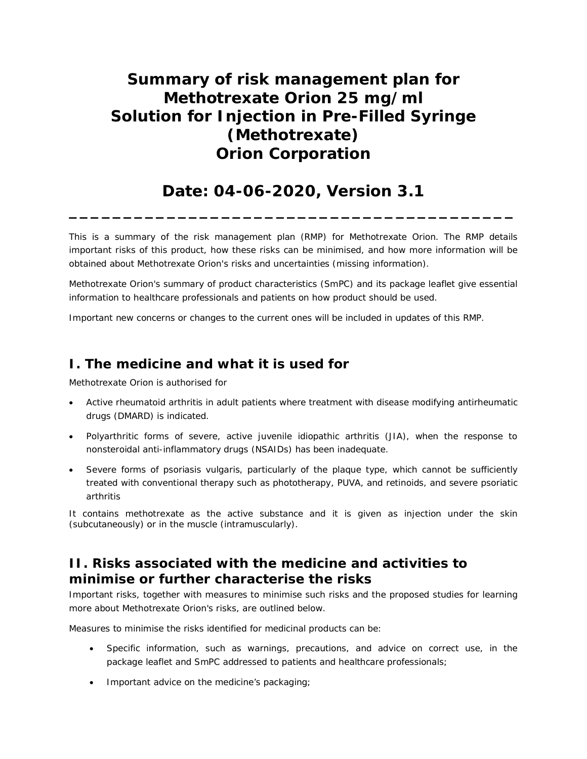# **Summary of risk management plan for Methotrexate Orion 25 mg/ml Solution for Injection in Pre-Filled Syringe (Methotrexate) Orion Corporation**

# **Date: 04-06-2020, Version 3.1**

**\_\_\_\_\_\_\_\_\_\_\_\_\_\_\_\_\_\_\_\_\_\_\_\_\_\_\_\_\_\_\_\_\_\_\_\_\_\_\_\_\_**

This is a summary of the risk management plan (RMP) for Methotrexate Orion. The RMP details important risks of this product, how these risks can be minimised, and how more information will be obtained about Methotrexate Orion's risks and uncertainties (missing information).

Methotrexate Orion's summary of product characteristics (SmPC) and its package leaflet give essential information to healthcare professionals and patients on how product should be used.

Important new concerns or changes to the current ones will be included in updates of this RMP.

## **I. The medicine and what it is used for**

Methotrexate Orion is authorised for

- Active rheumatoid arthritis in adult patients where treatment with disease modifying antirheumatic drugs (DMARD) is indicated.
- · Polyarthritic forms of severe, active juvenile idiopathic arthritis (JIA), when the response to nonsteroidal anti-inflammatory drugs (NSAIDs) has been inadequate.
- Severe forms of psoriasis vulgaris, particularly of the plaque type, which cannot be sufficiently treated with conventional therapy such as phototherapy, PUVA, and retinoids, and severe psoriatic arthritis

It contains methotrexate as the active substance and it is given as injection under the skin (subcutaneously) or in the muscle (intramuscularly).

# **II. Risks associated with the medicine and activities to minimise or further characterise the risks**

Important risks, together with measures to minimise such risks and the proposed studies for learning more about Methotrexate Orion's risks, are outlined below.

Measures to minimise the risks identified for medicinal products can be:

- · Specific information, such as warnings, precautions, and advice on correct use, in the package leaflet and SmPC addressed to patients and healthcare professionals;
- · Important advice on the medicine's packaging;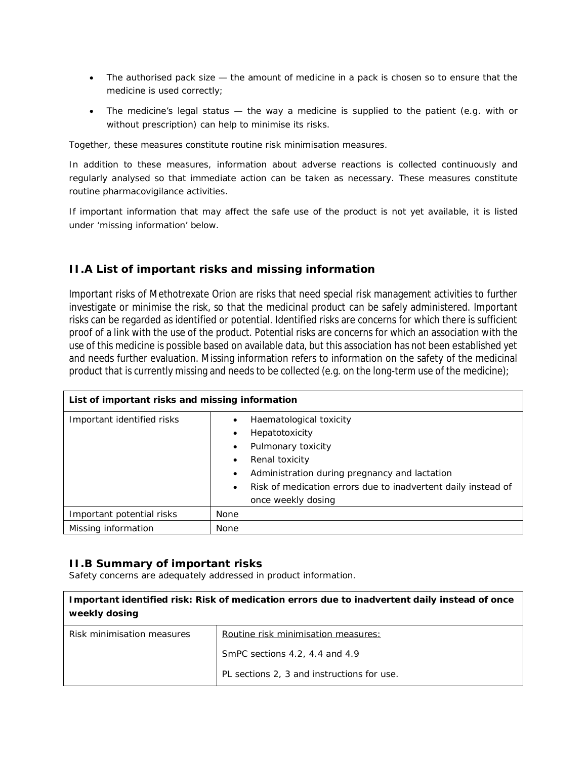- The authorised pack size the amount of medicine in a pack is chosen so to ensure that the medicine is used correctly;
- · The medicine's legal status the way a medicine is supplied to the patient (e.g. with or without prescription) can help to minimise its risks.

Together, these measures constitute routine risk minimisation measures.

In addition to these measures, information about adverse reactions is collected continuously and regularly analysed so that immediate action can be taken as necessary. These measures constitute routine pharmacovigilance activities.

If important information that may affect the safe use of the product is not yet available, it is listed under 'missing information' below.

### **II.A List of important risks and missing information**

Important risks of Methotrexate Orion are risks that need special risk management activities to further investigate or minimise the risk, so that the medicinal product can be safely administered. Important risks can be regarded as identified or potential. Identified risks are concerns for which there is sufficient proof of a link with the use of the product. Potential risks are concerns for which an association with the use of this medicine is possible based on available data, but this association has not been established yet and needs further evaluation. Missing information refers to information on the safety of the medicinal product that is currently missing and needs to be collected (e.g. on the long-term use of the medicine);

| List of important risks and missing information |                                                                                                                                                                                                                                          |  |
|-------------------------------------------------|------------------------------------------------------------------------------------------------------------------------------------------------------------------------------------------------------------------------------------------|--|
| Important identified risks                      | Haematological toxicity<br>Hepatotoxicity<br>Pulmonary toxicity<br>٠<br>Renal toxicity<br>Administration during pregnancy and lactation<br>٠<br>Risk of medication errors due to inadvertent daily instead of<br>٠<br>once weekly dosing |  |
| Important potential risks                       | None                                                                                                                                                                                                                                     |  |
| Missing information                             | None                                                                                                                                                                                                                                     |  |

#### **II.B Summary of important risks**

Safety concerns are adequately addressed in product information.

| Important identified risk: Risk of medication errors due to inadvertent daily instead of once<br>weekly dosing |                                            |  |
|----------------------------------------------------------------------------------------------------------------|--------------------------------------------|--|
| Risk minimisation measures                                                                                     | Routine risk minimisation measures:        |  |
|                                                                                                                | SmPC sections 4.2, 4.4 and 4.9             |  |
|                                                                                                                | PL sections 2, 3 and instructions for use. |  |